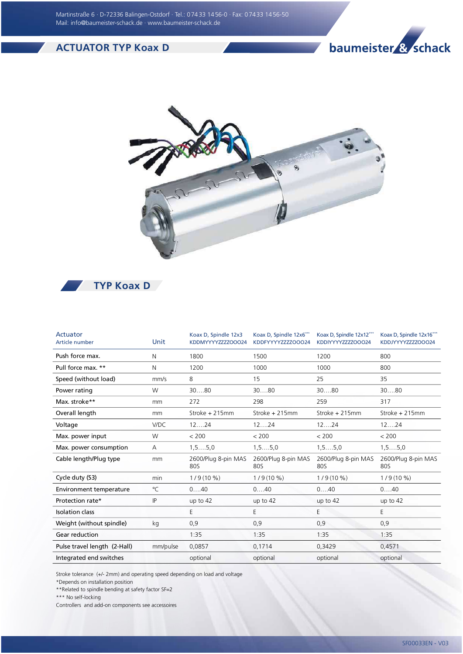## ACTUATOR TYP Koax D

## baumeister & schack





| Actuator<br>Article number   | Unit     | Koax D, Spindle 12x3<br>KDDMYYYYZZZZOOO24 | Koax D, Spindle 12x6***<br>KDDFYYYYZZZZOOO24 | Koax D, Spindle 12x12***<br>KDDIYYYYZZZZOOO24 | Koax D, Spindle 12x16***<br>KDDJYYYYZZZZOOO24 |
|------------------------------|----------|-------------------------------------------|----------------------------------------------|-----------------------------------------------|-----------------------------------------------|
| Push force max.              | N        | 1800                                      | 1500                                         | 1200                                          | 800                                           |
| Pull force max. **           | N        | 1200                                      | 1000                                         | 1000                                          | 800                                           |
| Speed (without load)         | mm/s     | 8                                         | 15                                           | 25                                            | 35                                            |
| Power rating                 | W        | 3080                                      | 3080                                         | 3080                                          | 3080                                          |
| Max. stroke**                | mm       | 272                                       | 298                                          | 259                                           | 317                                           |
| Overall length               | mm       | Stroke + 215mm                            | Stroke + 215mm                               | Stroke + 215mm                                | Stroke + 215mm                                |
| Voltage                      | V/DC     | 1224                                      | 1224                                         | 1224                                          | 1224                                          |
| Max. power input             | W        | < 200                                     | < 200                                        | < 200                                         | < 200                                         |
| Max. power consumption       | A        | $1, 5, \ldots, 5, 0$                      | $1, 5, \ldots, 5, 0$                         | $1, 5, \ldots, 5, 0$                          | $1, 5, \ldots, 5, 0$                          |
| Cable length/Plug type       | mm       | 2600/Plug 8-pin MAS<br>80S                | 2600/Plug 8-pin MAS<br>80S                   | 2600/Plug 8-pin MAS<br>80S                    | 2600/Plug 8-pin MAS<br>80S                    |
| Cycle duty (S3)              | min      | $1/9(10\%)$                               | $1/9(10\%)$                                  | $1/9(10\%)$                                   | $1/9(10\%)$                                   |
| Environment temperature      | °C       | 040                                       | 040                                          | 040                                           | 040                                           |
| Protection rate*             | IP       | up to $42$                                | up to 42                                     | up to $42$                                    | up to $42$                                    |
| <b>Isolation class</b>       |          | E                                         | E                                            | E                                             | E                                             |
| Weight (without spindle)     | kg       | 0,9                                       | 0,9                                          | 0,9                                           | 0,9                                           |
| Gear reduction               |          | 1:35                                      | 1:35                                         | 1:35                                          | 1:35                                          |
| Pulse travel length (2-Hall) | mm/pulse | 0,0857                                    | 0,1714                                       | 0,3429                                        | 0,4571                                        |
| Integrated end switches      |          | optional                                  | optional                                     | optional                                      | optional                                      |

Stroke tolerance (+/- 2mm) and operating speed depending on load and voltage

\*Depends on installation position

\*\*Related to spindle bending at safety factor SF=2

\*\*\* No self-locking

Controllers and add-on components see accessoires